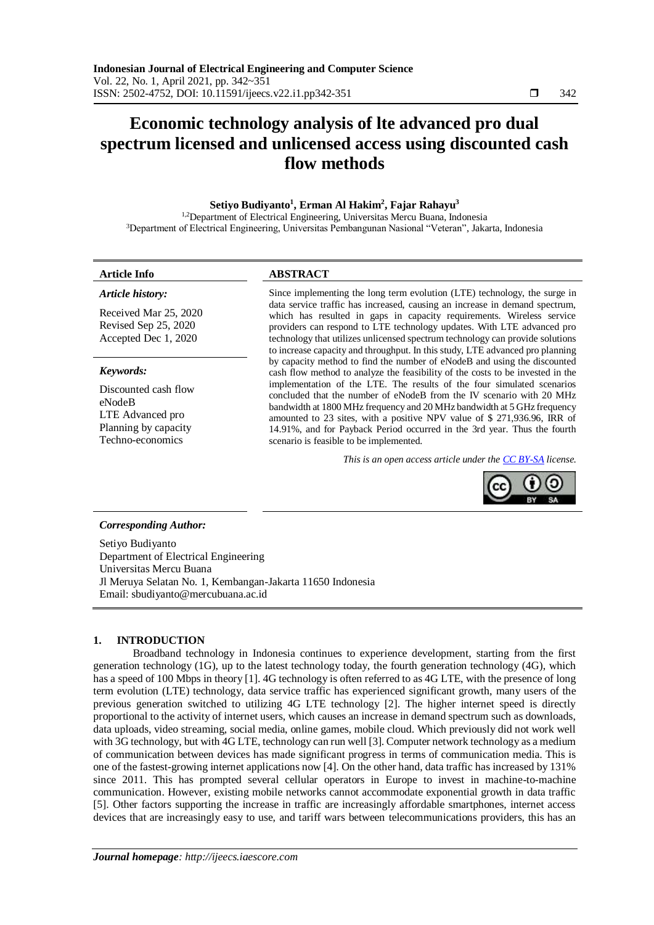# **Economic technology analysis of lte advanced pro dual spectrum licensed and unlicensed access using discounted cash flow methods**

# **Setiyo Budiyanto<sup>1</sup> , Erman Al Hakim<sup>2</sup> , Fajar Rahayu<sup>3</sup>**

<sup>1,2</sup>Department of Electrical Engineering, Universitas Mercu Buana, Indonesia <sup>3</sup>Department of Electrical Engineering, Universitas Pembangunan Nasional "Veteran", Jakarta, Indonesia

*Article history:*

# **Article Info ABSTRACT**

Received Mar 25, 2020 Revised Sep 25, 2020 Accepted Dec 1, 2020

### *Keywords:*

Discounted cash flow eNodeB LTE Advanced pro Planning by capacity Techno-economics

Since implementing the long term evolution (LTE) technology, the surge in data service traffic has increased, causing an increase in demand spectrum, which has resulted in gaps in capacity requirements. Wireless service providers can respond to LTE technology updates. With LTE advanced pro technology that utilizes unlicensed spectrum technology can provide solutions to increase capacity and throughput. In this study, LTE advanced pro planning by capacity method to find the number of eNodeB and using the discounted cash flow method to analyze the feasibility of the costs to be invested in the implementation of the LTE. The results of the four simulated scenarios concluded that the number of eNodeB from the IV scenario with 20 MHz bandwidth at 1800 MHz frequency and 20 MHz bandwidth at 5 GHz frequency amounted to 23 sites, with a positive NPV value of \$ 271,936.96, IRR of 14.91%, and for Payback Period occurred in the 3rd year. Thus the fourth scenario is feasible to be implemented.

*This is an open access article under th[e CC BY-SA](https://creativecommons.org/licenses/by-sa/4.0/) license.*



### *Corresponding Author:*

Setiyo Budiyanto Department of Electrical Engineering Universitas Mercu Buana Jl Meruya Selatan No. 1, Kembangan-Jakarta 11650 Indonesia Email: sbudiyanto@mercubuana.ac.id

### **1. INTRODUCTION**

Broadband technology in Indonesia continues to experience development, starting from the first generation technology (1G), up to the latest technology today, the fourth generation technology (4G), which has a speed of 100 Mbps in theory [1]. 4G technology is often referred to as 4G LTE, with the presence of long term evolution (LTE) technology, data service traffic has experienced significant growth, many users of the previous generation switched to utilizing 4G LTE technology [2]. The higher internet speed is directly proportional to the activity of internet users, which causes an increase in demand spectrum such as downloads, data uploads, video streaming, social media, online games, mobile cloud. Which previously did not work well with 3G technology, but with 4G LTE, technology can run well [3]. Computer network technology as a medium of communication between devices has made significant progress in terms of communication media. This is one of the fastest-growing internet applications now [4]. On the other hand, data traffic has increased by 131% since 2011. This has prompted several cellular operators in Europe to invest in machine-to-machine communication. However, existing mobile networks cannot accommodate exponential growth in data traffic [5]. Other factors supporting the increase in traffic are increasingly affordable smartphones, internet access devices that are increasingly easy to use, and tariff wars between telecommunications providers, this has an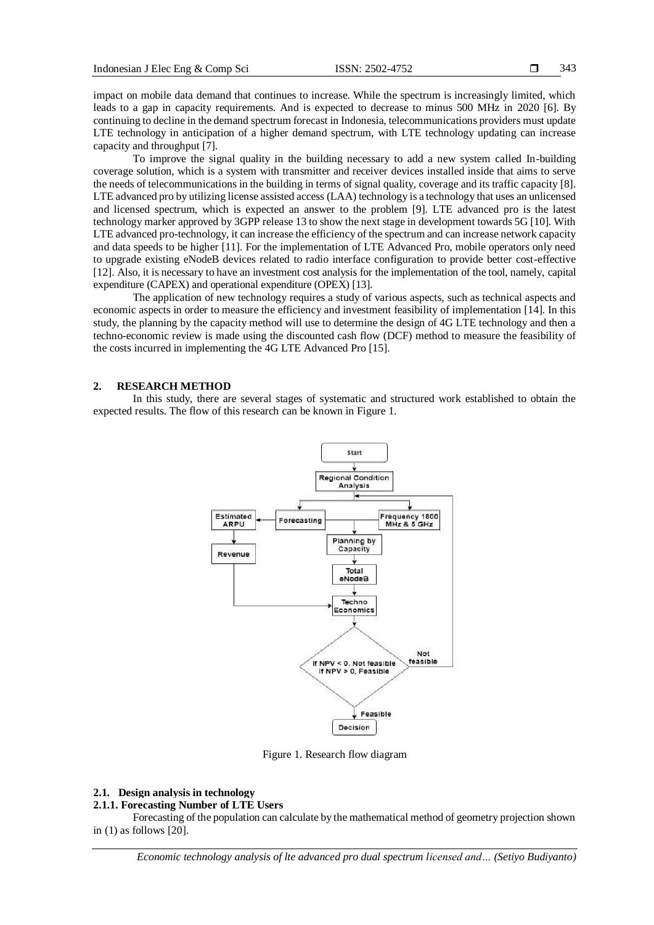impact on mobile data demand that continues to increase. While the spectrum is increasingly limited, which leads to a gap in capacity requirements. And is expected to decrease to minus 500 MHz in 2020 [6]. By continuing to decline in the demand spectrum forecast in Indonesia, telecommunications providers must update LTE technology in anticipation of a higher demand spectrum, with LTE technology updating can increase capacity and throughput [7].

To improve the signal quality in the building necessary to add a new system called In-building coverage solution, which is a system with transmitter and receiver devices installed inside that aims to serve the needs of telecommunications in the building in terms of signal quality, coverage and its traffic capacity [8]. LTE advanced pro by utilizing license assisted access (LAA) technology is a technology that uses an unlicensed and licensed spectrum, which is expected an answer to the problem [9]. LTE advanced pro is the latest technology marker approved by 3GPP release 13 to show the next stage in development towards 5G [10]. With LTE advanced pro-technology, it can increase the efficiency of the spectrum and can increase network capacity and data speeds to be higher [11]. For the implementation of LTE Advanced Pro, mobile operators only need to upgrade existing eNodeB devices related to radio interface configuration to provide better cost-effective [12]. Also, it is necessary to have an investment cost analysis for the implementation of the tool, namely, capital expenditure (CAPEX) and operational expenditure (OPEX) [13].

The application of new technology requires a study of various aspects, such as technical aspects and economic aspects in order to measure the efficiency and investment feasibility of implementation [14]. In this study, the planning by the capacity method will use to determine the design of 4G LTE technology and then a techno-economic review is made using the discounted cash flow (DCF) method to measure the feasibility of the costs incurred in implementing the 4G LTE Advanced Pro [15].

#### **2. RESEARCH METHOD**

In this study, there are several stages of systematic and structured work established to obtain the expected results. The flow of this research can be known in Figure 1.



Figure 1. Research flow diagram

#### **2.1. Design analysis in technology**

#### **2.1.1. Forecasting Number of LTE Users**

Forecasting of the population can calculate by the mathematical method of geometry projection shown in (1) as follows [20].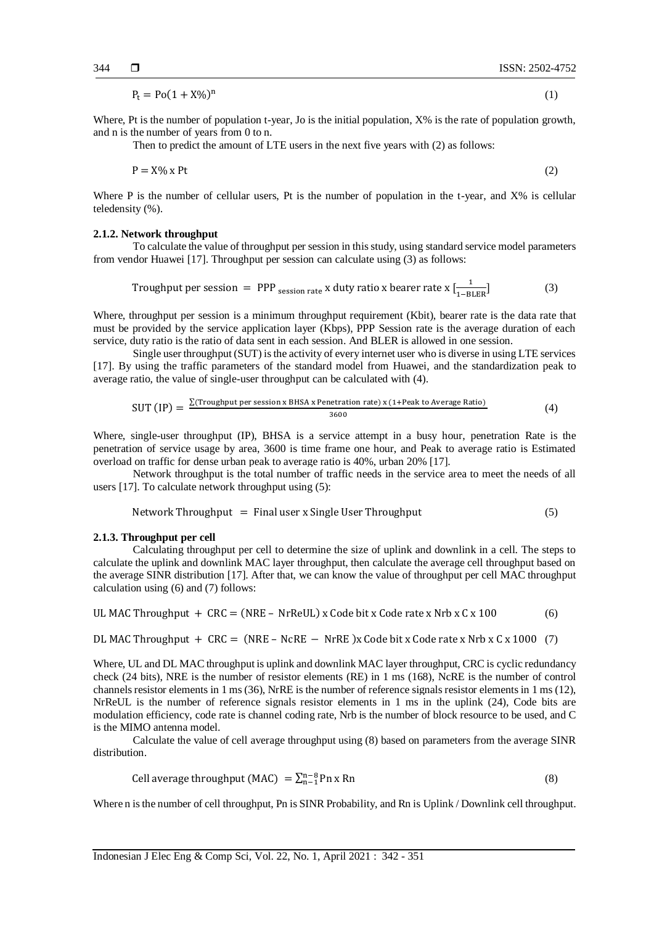$$
P_t = Po(1 + X\%)^n \tag{1}
$$

Where, Pt is the number of population t-year, Jo is the initial population,  $X\%$  is the rate of population growth, and n is the number of years from 0 to n.

Then to predict the amount of LTE users in the next five years with (2) as follows:

$$
P = X\% \times Pt \tag{2}
$$

Where P is the number of cellular users, Pt is the number of population in the t-year, and  $X\%$  is cellular teledensity (%).

#### **2.1.2. Network throughput**

To calculate the value of throughput per session in this study, using standard service model parameters from vendor Huawei [17]. Throughput per session can calculate using (3) as follows:

Trought per session = PPP<sub>session rate</sub> x duty ratio x bearer rate x 
$$
\left[\frac{1}{1-BLER}\right]
$$
 (3)

Where, throughput per session is a minimum throughput requirement (Kbit), bearer rate is the data rate that must be provided by the service application layer (Kbps), PPP Session rate is the average duration of each service, duty ratio is the ratio of data sent in each session. And BLER is allowed in one session.

Single user throughput (SUT) is the activity of every internet user who is diverse in using LTE services [17]. By using the traffic parameters of the standard model from Huawei, and the standardization peak to average ratio, the value of single-user throughput can be calculated with (4).

$$
SUT (IP) = \frac{\Sigma(\text{Troughput per session x BHSA x Penetration rate}) x (1+Peak to Average Ratio)}{3600}
$$
 (4)

Where, single-user throughput (IP), BHSA is a service attempt in a busy hour, penetration Rate is the penetration of service usage by area, 3600 is time frame one hour, and Peak to average ratio is Estimated overload on traffic for dense urban peak to average ratio is 40%, urban 20% [17].

Network throughput is the total number of traffic needs in the service area to meet the needs of all users [17]. To calculate network throughput using (5):

$$
Network Throughout = Final user x Single User Throughput
$$
\n
$$
(5)
$$

#### **2.1.3. Throughput per cell**

Calculating throughput per cell to determine the size of uplink and downlink in a cell. The steps to calculate the uplink and downlink MAC layer throughput, then calculate the average cell throughput based on the average SINR distribution [17]. After that, we can know the value of throughput per cell MAC throughput calculation using (6) and (7) follows:

UL MAC Throughput + CRC = (NRE – NrReLU) x Code bit x Code rate x Nrb x C x 100 
$$
(6)
$$

DL MAC Throughput + CRC = (NRE – NcRE – NrRE)x Code bit x Code rate x Nrb x C x 1000 (7)

Where, UL and DL MAC throughput is uplink and downlink MAC layer throughput, CRC is cyclic redundancy check (24 bits), NRE is the number of resistor elements (RE) in 1 ms (168), NcRE is the number of control channels resistor elements in 1 ms (36), NrRE is the number of reference signals resistor elements in 1 ms (12), NrReUL is the number of reference signals resistor elements in 1 ms in the uplink (24), Code bits are modulation efficiency, code rate is channel coding rate, Nrb is the number of block resource to be used, and C is the MIMO antenna model.

Calculate the value of cell average throughput using (8) based on parameters from the average SINR distribution.

Cell average throughout (MAC) = 
$$
\sum_{n=1}^{n-8} P_n x R_n
$$
 (8)

Where n is the number of cell throughput. Pn is SINR Probability, and Rn is Uplink / Downlink cell throughput.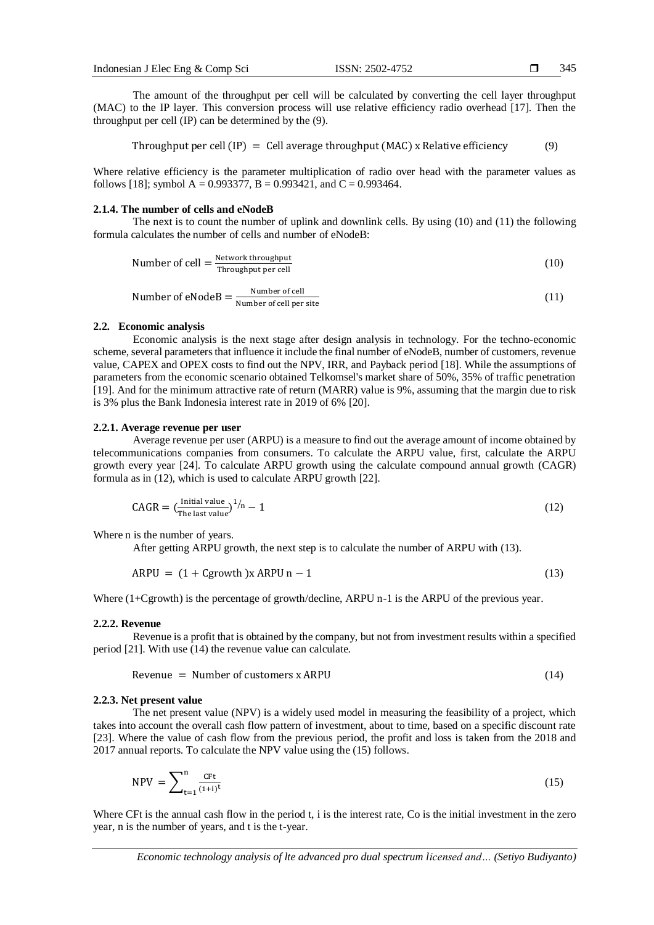The amount of the throughput per cell will be calculated by converting the cell layer throughput (MAC) to the IP layer. This conversion process will use relative efficiency radio overhead [17]. Then the throughput per cell (IP) can be determined by the (9).

Throughout per cell 
$$
(IP)
$$
 = Cell average throughput (MAC) x Relative efficiency (9)

Where relative efficiency is the parameter multiplication of radio over head with the parameter values as follows [18]; symbol A = 0.993377, B = 0.993421, and C = 0.993464.

#### **2.1.4. The number of cells and eNodeB**

The next is to count the number of uplink and downlink cells. By using (10) and (11) the following formula calculates the number of cells and number of eNodeB:

Number of cell = 
$$
\frac{\text{Network throughput}}{\text{Throughout per cell}}
$$
 (10)

Number of eNodeB = 
$$
\frac{\text{Number of cell}}{\text{Number of cell per site}}
$$
 (11)

#### **2.2. Economic analysis**

Economic analysis is the next stage after design analysis in technology. For the techno-economic scheme, several parameters that influence it include the final number of eNodeB, number of customers, revenue value, CAPEX and OPEX costs to find out the NPV, IRR, and Payback period [18]. While the assumptions of parameters from the economic scenario obtained Telkomsel's market share of 50%, 35% of traffic penetration [19]. And for the minimum attractive rate of return (MARR) value is 9%, assuming that the margin due to risk is 3% plus the Bank Indonesia interest rate in 2019 of 6% [20].

#### **2.2.1. Average revenue per user**

Average revenue per user (ARPU) is a measure to find out the average amount of income obtained by telecommunications companies from consumers. To calculate the ARPU value, first, calculate the ARPU growth every year [24]. To calculate ARPU growth using the calculate compound annual growth (CAGR) formula as in (12), which is used to calculate ARPU growth [22].

$$
CAGR = \left(\frac{\text{Initial value}}{\text{The last value}}\right)^{1/n} - 1\tag{12}
$$

Where n is the number of years.

After getting ARPU growth, the next step is to calculate the number of ARPU with (13).

$$
ARPU = (1 + Cgrowth)x ARPU n - 1 \tag{13}
$$

Where (1+Cgrowth) is the percentage of growth/decline, ARPU n-1 is the ARPU of the previous year.

### **2.2.2. Revenue**

Revenue is a profit that is obtained by the company, but not from investment results within a specified period [21]. With use (14) the revenue value can calculate.

$$
Revenue = Number of customers x ARPU
$$
\n(14)

#### **2.2.3. Net present value**

The net present value (NPV) is a widely used model in measuring the feasibility of a project, which takes into account the overall cash flow pattern of investment, about to time, based on a specific discount rate [23]. Where the value of cash flow from the previous period, the profit and loss is taken from the 2018 and 2017 annual reports. To calculate the NPV value using the (15) follows.

$$
NPV = \sum_{t=1}^{n} \frac{C F t}{(1+i)^t}
$$
 (15)

Where CFt is the annual cash flow in the period t, i is the interest rate. Co is the initial investment in the zero year, n is the number of years, and t is the t-year.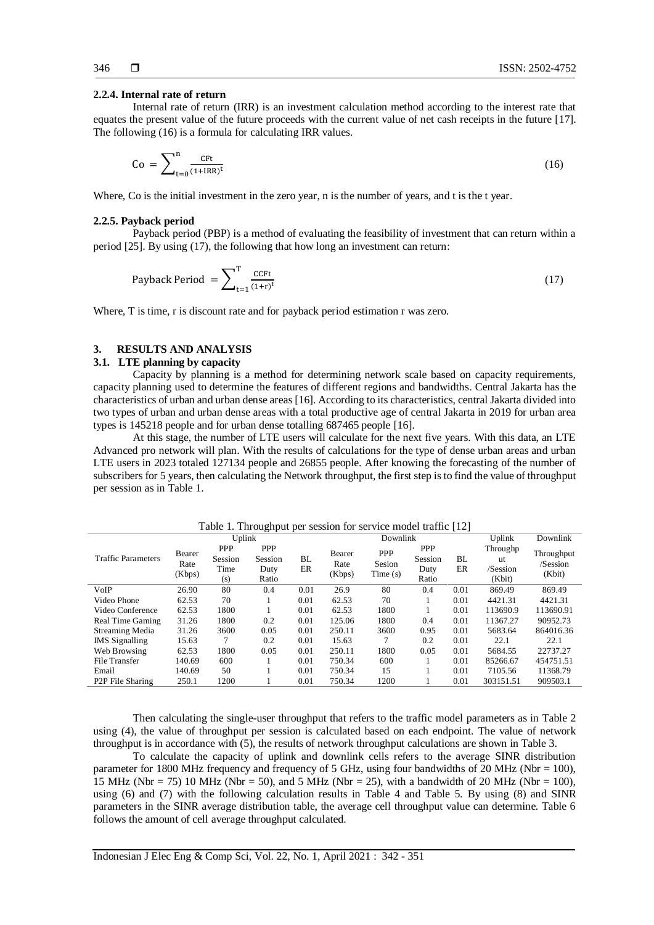#### **2.2.4. Internal rate of return**

Internal rate of return (IRR) is an investment calculation method according to the interest rate that equates the present value of the future proceeds with the current value of net cash receipts in the future [17]. The following (16) is a formula for calculating IRR values.

$$
Co = \sum_{t=0}^{n} \frac{CFt}{(1+IRR)^t}
$$
 (16)

Where, Co is the initial investment in the zero year, n is the number of years, and t is the t year.

#### **2.2.5. Payback period**

Payback period (PBP) is a method of evaluating the feasibility of investment that can return within a period [25]. By using (17), the following that how long an investment can return:

Payback Period = 
$$
\sum_{t=1}^{T} \frac{cct}{(1+r)^{t}}
$$
 (17)

Where, T is time, r is discount rate and for payback period estimation r was zero.

# **3. RESULTS AND ANALYSIS**

# **3.1. LTE planning by capacity**

Capacity by planning is a method for determining network scale based on capacity requirements, capacity planning used to determine the features of different regions and bandwidths. Central Jakarta has the characteristics of urban and urban dense areas [16]. According to its characteristics, central Jakarta divided into two types of urban and urban dense areas with a total productive age of central Jakarta in 2019 for urban area types is 145218 people and for urban dense totalling 687465 people [16].

At this stage, the number of LTE users will calculate for the next five years. With this data, an LTE Advanced pro network will plan. With the results of calculations for the type of dense urban areas and urban LTE users in 2023 totaled 127134 people and 26855 people. After knowing the forecasting of the number of subscribers for 5 years, then calculating the Network throughput, the first step is to find the value of throughput per session as in Table 1.

Traffic Parameters Uplink Downlink Uplink Downlink Bearer Rate (Kbps) PPP Session Time (s) PPP Session Duty Ratio BL ER Bearer Rate (Kbps) PPP Sesion Time (s) PPP Session Duty Ratio BL ER Throughp ut /Session (Kbit) Throughput /Session (Kbit) VoIP 26.90 80 0.4 0.01 26.9 80 0.4 0.01 869.49 869.49 Video Phone 62.53 70 1 0.01 62.53 70 1 0.01 4421.31 4421.31 Video Conference 62.53 1800 1 0.01 62.53 1800 1 0.01 113690.9 113690.91 Real Time Gaming 31.26 1800 0.2 0.01 125.06 1800 0.4 0.01 11367.27 90952.73 Streaming Media 31.26 3600 0.05 0.01 250.11 3600 0.95 0.01 5683.64 864016.36<br>IMS Signalling 15.63 7 0.2 0.01 15.63 7 0.2 0.01 22.1 22.1 IMS Signalling 15.63 7 0.2 0.01 15.63 7 Web Browsing 62.53 1800 0.05 0.01 250.11 1800 0.05 0.01 5684.55 22737.27 File Transfer 140.69 600 1 0.01 750.34 600 1 0.01 85266.67 454751.51 Email 140.69 50 1 0.01 750.34 15 1 0.01 7105.56 11368.79 P2P File Sharing 250.1 1200 1 0.01 750.34 1200 1 0.01 303151.51 909503.1

Table 1. Throughput per session for service model traffic [12]

Then calculating the single-user throughput that refers to the traffic model parameters as in Table 2 using (4), the value of throughput per session is calculated based on each endpoint. The value of network throughput is in accordance with (5), the results of network throughput calculations are shown in Table 3.

To calculate the capacity of uplink and downlink cells refers to the average SINR distribution parameter for 1800 MHz frequency and frequency of 5 GHz, using four bandwidths of 20 MHz (Nbr = 100), 15 MHz (Nbr = 75) 10 MHz (Nbr = 50), and 5 MHz (Nbr = 25), with a bandwidth of 20 MHz (Nbr = 100), using (6) and (7) with the following calculation results in Table 4 and Table 5. By using (8) and SINR parameters in the SINR average distribution table, the average cell throughput value can determine. Table 6 follows the amount of cell average throughput calculated.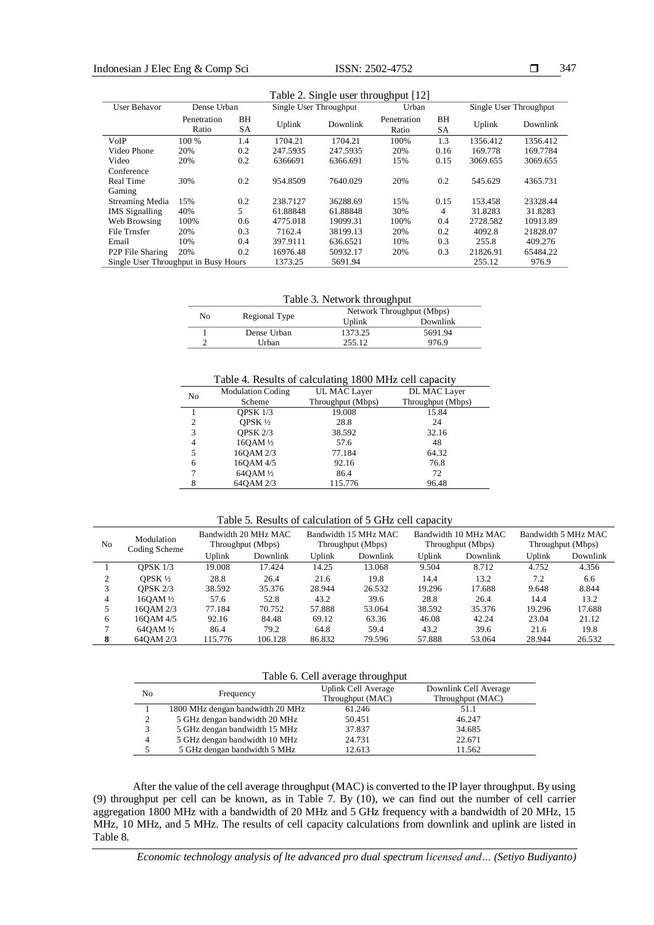347

| Table 2. Single user throughput [12] |                      |          |          |                        |                      |          |          |                        |  |
|--------------------------------------|----------------------|----------|----------|------------------------|----------------------|----------|----------|------------------------|--|
| User Behavor                         | Dense Urban          |          |          | Single User Throughput |                      | Urban    |          | Single User Throughput |  |
|                                      | Penetration<br>Ratio | ΒH<br>SА | Uplink   | Downlink               | Penetration<br>Ratio | ΒH<br>SА | Uplink   | Downlink               |  |
| VoIP                                 | 100 %                | 1.4      | 1704.21  | 1704.21                | 100%                 | 1.3      | 1356.412 | 1356.412               |  |
| Video Phone                          | 20%                  | 0.2      | 247.5935 | 247.5935               | 20%                  | 0.16     | 169.778  | 169.7784               |  |
| Video                                | 20%                  | 0.2      | 6366691  | 6366.691               | 15%                  | 0.15     | 3069.655 | 3069.655               |  |
| Conference                           |                      |          |          |                        |                      |          |          |                        |  |
| Real Time                            | 30%                  | 0.2      | 954.8509 | 7640.029               | 20%                  | 0.2      | 545.629  | 4365.731               |  |
| Gaming                               |                      |          |          |                        |                      |          |          |                        |  |
| Streaming Media                      | 15%                  | 0.2      | 238.7127 | 36288.69               | 15%                  | 0.15     | 153.458  | 23328.44               |  |
| <b>IMS</b> Signalling                | 40%                  | 5        | 61.88848 | 61.88848               | 30%                  | 4        | 31.8283  | 31.8283                |  |
| Web Browsing                         | 100%                 | 0.6      | 4775.018 | 19099.31               | 100%                 | 0.4      | 2728.582 | 10913.89               |  |
| File Trnsfer                         | 20%                  | 0.3      | 7162.4   | 38199.13               | 20%                  | 0.2      | 4092.8   | 21828.07               |  |
| Email                                | 10%                  | 0.4      | 397.9111 | 636.6521               | 10%                  | 0.3      | 255.8    | 409.276                |  |
| P <sub>2</sub> P File Sharing        | 20%                  | 0.2      | 16976.48 | 50932.17               | 20%                  | 0.3      | 21826.91 | 65484.22               |  |
| Single User Throughput in Busy Hours |                      |          | 1373.25  | 5691.94                |                      |          | 255.12   | 976.9                  |  |

Table 3. Network throughput

| No |               | Network Throughput (Mbps) |          |  |  |  |
|----|---------------|---------------------------|----------|--|--|--|
|    | Regional Type | Uplink                    | Downlink |  |  |  |
|    | Dense Urban   | 1373.25                   | 5691.94  |  |  |  |
|    | Urban         | 255.12                    | 976.9    |  |  |  |
|    |               |                           |          |  |  |  |

Table 4. Results of calculating 1800 MHz cell capacity

| No | <b>Modulation Coding</b>          | UL MAC Layer      | DL MAC Layer      |
|----|-----------------------------------|-------------------|-------------------|
|    | Scheme                            | Throughput (Mbps) | Throughput (Mbps) |
|    | <b>OPSK 1/3</b>                   | 19.008            | 15.84             |
| 2  | OPSK $\frac{1}{2}$                | 28.8              | 24                |
| 3  | <b>OPSK 2/3</b>                   | 38.592            | 32.16             |
| 4  | 160AM <sup>1</sup> / <sub>2</sub> | 57.6              | 48                |
|    | 160AM 2/3                         | 77.184            | 64.32             |
| 6  | 160AM 4/5                         | 92.16             | 76.8              |
|    | 640AM 1/2                         | 86.4              | 72                |
|    | 64QAM 2/3                         | 115.776           | 96.48             |
|    |                                   |                   |                   |

|  | Table 5. Results of calculation of 5 GHz cell capacity |  |  |  |  |  |  |  |
|--|--------------------------------------------------------|--|--|--|--|--|--|--|
|--|--------------------------------------------------------|--|--|--|--|--|--|--|

| N <sub>0</sub> | Modulation<br>Coding Scheme | Bandwidth 20 MHz MAC<br>Throughput (Mbps) |          | Bandwidth 15 MHz MAC<br>Throughput (Mbps) |          | Bandwidth 10 MHz MAC<br>Throughput (Mbps) |          | Bandwidth 5 MHz MAC<br>Throughput (Mbps) |          |
|----------------|-----------------------------|-------------------------------------------|----------|-------------------------------------------|----------|-------------------------------------------|----------|------------------------------------------|----------|
|                |                             | Uplink                                    | Downlink | Uplink                                    | Downlink | Uplink                                    | Downlink | Uplink                                   | Downlink |
|                | <b>OPSK 1/3</b>             | 19.008                                    | 17.424   | 14.25                                     | 13.068   | 9.504                                     | 8.712    | 4.752                                    | 4.356    |
|                | OPSK $\frac{1}{2}$          | 28.8                                      | 26.4     | 21.6                                      | 19.8     | 14.4                                      | 13.2     | 7.2                                      | 6.6      |
|                | OPSK $2/3$                  | 38.592                                    | 35.376   | 28.944                                    | 26.532   | 19.296                                    | 17.688   | 9.648                                    | 8.844    |
| 4              | $160AM\frac{1}{2}$          | 57.6                                      | 52.8     | 43.2                                      | 39.6     | 28.8                                      | 26.4     | 14.4                                     | 13.2     |
|                | 160AM 2/3                   | 77.184                                    | 70.752   | 57.888                                    | 53.064   | 38.592                                    | 35.376   | 19.296                                   | 17.688   |
| 6              | 160AM 4/5                   | 92.16                                     | 84.48    | 69.12                                     | 63.36    | 46.08                                     | 42.24    | 23.04                                    | 21.12    |
|                | $640AM\frac{1}{2}$          | 86.4                                      | 79.2     | 64.8                                      | 59.4     | 43.2                                      | 39.6     | 21.6                                     | 19.8     |
| 8              | 640AM 2/3                   | 115.776                                   | 106.128  | 86.832                                    | 79.596   | 57.888                                    | 53.064   | 28.944                                   | 26.532   |

Table 6. Cell average throughput

| N <sub>0</sub> | Frequency                        | Uplink Cell Average<br>Throughput (MAC) | Downlink Cell Average<br>Throughput (MAC) |
|----------------|----------------------------------|-----------------------------------------|-------------------------------------------|
|                | 1800 MHz dengan bandwidth 20 MHz | 61.246                                  | 51.1                                      |
| ↑              | 5 GHz dengan bandwidth 20 MHz    | 50.451                                  | 46.247                                    |
| 3              | 5 GHz dengan bandwidth 15 MHz    | 37.837                                  | 34.685                                    |
| 4              | 5 GHz dengan bandwidth 10 MHz    | 24.731                                  | 22.671                                    |
|                | 5 GHz dengan bandwidth 5 MHz     | 12.613                                  | 11.562                                    |
|                |                                  |                                         |                                           |

After the value of the cell average throughput (MAC) is converted to the IP layer throughput. By using (9) throughput per cell can be known, as in Table 7. By (10), we can find out the number of cell carrier aggregation 1800 MHz with a bandwidth of 20 MHz and 5 GHz frequency with a bandwidth of 20 MHz, 15 MHz, 10 MHz, and 5 MHz. The results of cell capacity calculations from downlink and uplink are listed in Table 8.

*Economic technology analysis of lte advanced pro dual spectrum licensed and… (Setiyo Budiyanto)*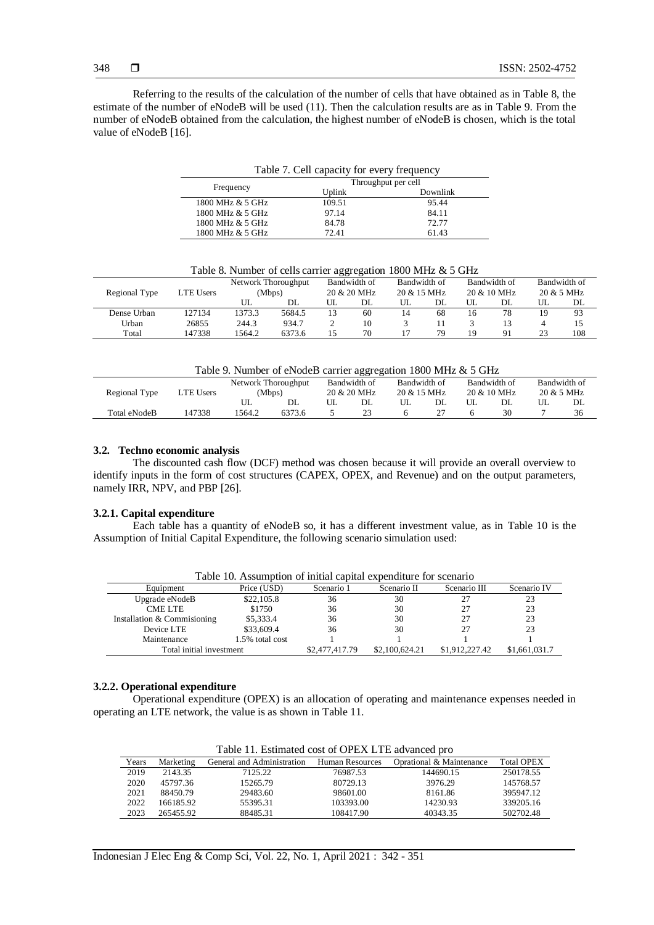Referring to the results of the calculation of the number of cells that have obtained as in Table 8, the estimate of the number of eNodeB will be used (11). Then the calculation results are as in Table 9. From the number of eNodeB obtained from the calculation, the highest number of eNodeB is chosen, which is the total value of eNodeB [16].

| Table 7. Cell capacity for every frequency |                     |          |  |  |  |  |  |  |
|--------------------------------------------|---------------------|----------|--|--|--|--|--|--|
|                                            | Throughput per cell |          |  |  |  |  |  |  |
| Frequency                                  | Uplink              | Downlink |  |  |  |  |  |  |
| 1800 MHz & 5 GHz                           | 109.51              | 95.44    |  |  |  |  |  |  |
| 1800 MHz & 5 GHz                           | 97.14               | 84.11    |  |  |  |  |  |  |
| 1800 MHz & 5 GHz                           | 84.78               | 72.77    |  |  |  |  |  |  |
| 1800 MHz & 5 GHz                           | 72.41               | 61.43    |  |  |  |  |  |  |

| Regional Type | <b>LTE Users</b> | Network Thoroughput<br>(Mbps) |        | Bandwidth of<br>20 & 20 MHz |    | Bandwidth of<br>$20 \& 15 \text{ MHz}$ |    | Bandwidth of<br>$20 \& 10 \text{ MHz}$ |    | Bandwidth of<br>$20 \& 5 \text{ MHz}$ |     |
|---------------|------------------|-------------------------------|--------|-----------------------------|----|----------------------------------------|----|----------------------------------------|----|---------------------------------------|-----|
|               |                  | UL                            | DL     | UL                          | DL | UL                                     | DL | UL                                     | DL | UL.                                   | DL  |
| Dense Urban   | 127134           | 1373.3                        | 5684.5 | 13                          | 60 | 14                                     | 68 | 16                                     | 78 |                                       | 93  |
| Urban         | 26855            | 244.3                         | 934.7  |                             | 10 |                                        |    |                                        |    |                                       |     |
| Total         | 47338            | 1564.2                        | 6373.6 | 15                          | 70 |                                        | 79 | 19                                     | 91 |                                       | 108 |

Table 8. Number of cells carrier aggregation 1800 MHz & 5 GHz

Table 9. Number of eNodeB carrier aggregation 1800 MHz & 5 GHz

| Tuble 9. I williott of errored currier uppreparion 1000 million of Grill |                  |                     |        |    |              |                        |    |    |                        |              |                       |
|--------------------------------------------------------------------------|------------------|---------------------|--------|----|--------------|------------------------|----|----|------------------------|--------------|-----------------------|
|                                                                          |                  | Network Thoroughput |        |    | Bandwidth of | Bandwidth of           |    |    | Bandwidth of           | Bandwidth of |                       |
| Regional Type                                                            | <b>LTE Users</b> |                     | (Mbps) |    | 20 & 20 MHz  | $20 \& 15 \text{ MHz}$ |    |    | $20 \& 10 \text{ MHz}$ |              | $20 \& 5 \text{ MHz}$ |
|                                                                          |                  |                     | DL     | UL | DL.          |                        | DL | UL | DL                     | UL           | DL                    |
| Total eNodeB                                                             | 147338           | 564.2               | 6373.6 |    |              |                        |    |    | 30                     |              | 36                    |
|                                                                          |                  |                     |        |    |              |                        |    |    |                        |              |                       |

# **3.2. Techno economic analysis**

The discounted cash flow (DCF) method was chosen because it will provide an overall overview to identify inputs in the form of cost structures (CAPEX, OPEX, and Revenue) and on the output parameters, namely IRR, NPV, and PBP [26].

#### **3.2.1. Capital expenditure**

Each table has a quantity of eNodeB so, it has a different investment value, as in Table 10 is the Assumption of Initial Capital Expenditure, the following scenario simulation used:

| Table 10. Assumption of initial capital expenditure for scenario |                 |                |                |               |             |  |  |  |
|------------------------------------------------------------------|-----------------|----------------|----------------|---------------|-------------|--|--|--|
| Equipment                                                        | Price (USD)     | Scenario 1     | Scenario II    | Scenario III  | Scenario IV |  |  |  |
| Upgrade eNodeB                                                   | \$22,105.8      | 36             | 30             |               | 23          |  |  |  |
| <b>CME LTE</b>                                                   | \$1750          | 36             | 30             |               | 23          |  |  |  |
| Installation & Commisioning                                      | \$5,333.4       | 36             | 30             |               | 23          |  |  |  |
| Device LTE                                                       | \$33,609.4      | 36             | 30             |               | 23          |  |  |  |
| Maintenance                                                      | 1.5% total cost |                |                |               |             |  |  |  |
| Total initial investment                                         | \$2,477,417.79  | \$2,100,624.21 | \$1,912,227.42 | \$1,661,031.7 |             |  |  |  |

Table 10. Assumption of initial capital expenditure for scenario

#### **3.2.2. Operational expenditure**

Operational expenditure (OPEX) is an allocation of operating and maintenance expenses needed in operating an LTE network, the value is as shown in Table 11.

| Table 11. Estimated cost of OPEX LTE advanced pro |           |                            |                 |                          |                   |  |  |  |  |  |
|---------------------------------------------------|-----------|----------------------------|-----------------|--------------------------|-------------------|--|--|--|--|--|
| Years                                             | Marketing | General and Administration | Human Resources | Oprational & Maintenance | <b>Total OPEX</b> |  |  |  |  |  |
| 2019                                              | 2143.35   | 7125.22                    | 76987.53        | 144690.15                | 250178.55         |  |  |  |  |  |
| 2020                                              | 45797.36  | 15265.79                   | 80729.13        | 3976.29                  | 145768.57         |  |  |  |  |  |
| 2021                                              | 88450.79  | 29483.60                   | 98601.00        | 8161.86                  | 395947.12         |  |  |  |  |  |
| 2022                                              | 166185.92 | 55395.31                   | 103393.00       | 14230.93                 | 339205.16         |  |  |  |  |  |
| 2023                                              | 265455.92 | 88485.31                   | 108417.90       | 40343.35                 | 502702.48         |  |  |  |  |  |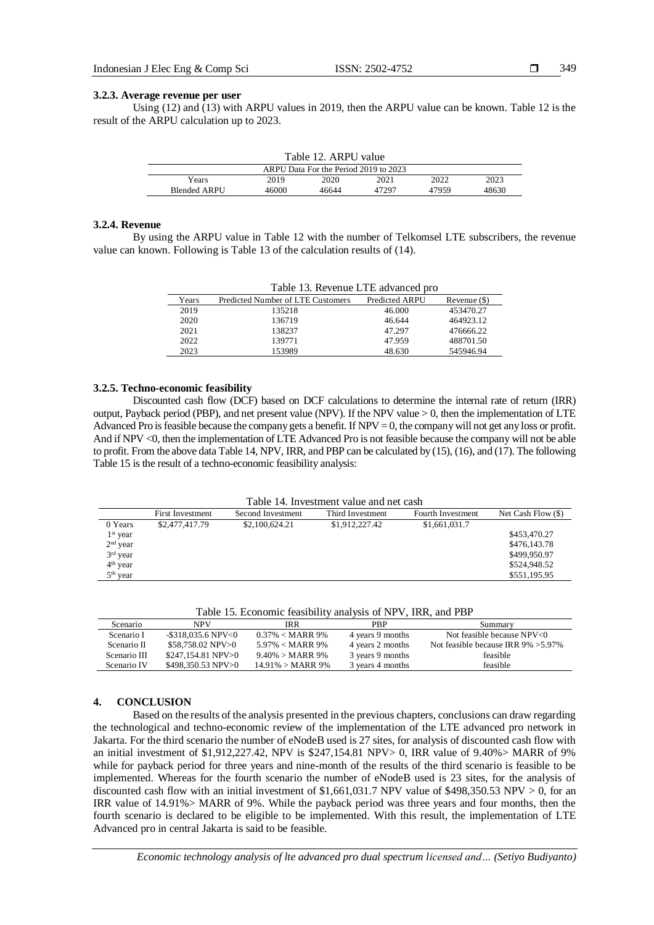349

#### **3.2.3. Average revenue per user**

Using  $(12)$  and  $(13)$  with ARPU values in 2019, then the ARPU value can be known. Table 12 is the result of the ARPU calculation up to 2023.

| Table 12. ARPU value                  |       |       |       |       |       |  |  |  |
|---------------------------------------|-------|-------|-------|-------|-------|--|--|--|
| ARPU Data For the Period 2019 to 2023 |       |       |       |       |       |  |  |  |
| Years                                 | 2019  | 2020  | 2021  | 2022  | 2023  |  |  |  |
| Blended ARPU                          | 46000 | 46644 | 47297 | 47959 | 48630 |  |  |  |

#### **3.2.4. Revenue**

By using the ARPU value in Table 12 with the number of Telkomsel LTE subscribers, the revenue value can known. Following is Table 13 of the calculation results of (14).

| Table 13. Revenue LTE advanced pro |                                   |                |                |  |  |
|------------------------------------|-----------------------------------|----------------|----------------|--|--|
| Years                              | Predicted Number of LTE Customers | Predicted ARPU | Revenue $(\$)$ |  |  |
| 2019                               | 135218                            | 46,000         | 453470.27      |  |  |
| 2020                               | 136719                            | 46.644         | 464923.12      |  |  |
| 2021                               | 138237                            | 47.297         | 476666.22      |  |  |
| 2022                               | 139771                            | 47.959         | 488701.50      |  |  |
| 2023                               | 153989                            | 48.630         | 545946.94      |  |  |

#### **3.2.5. Techno-economic feasibility**

Discounted cash flow (DCF) based on DCF calculations to determine the internal rate of return (IRR) output, Payback period (PBP), and net present value (NPV). If the NPV value  $> 0$ , then the implementation of LTE Advanced Pro is feasible because the company gets a benefit. If  $NPV = 0$ , the company will not get any loss or profit. And if NPV <0, then the implementation of LTE Advanced Pro is not feasible because the company will not be able to profit. From the above data Table 14, NPV, IRR, and PBP can be calculated by (15), (16), and (17). The following Table 15 is the result of a techno-economic feasibility analysis:

Table 14. Investment value and net cash

|            | <b>First Investment</b> | Second Investment | Third Investment | Fourth Investment | Net Cash Flow $(\$)$ |
|------------|-------------------------|-------------------|------------------|-------------------|----------------------|
| 0 Years    | \$2,477,417.79          | \$2,100,624.21    | \$1,912,227.42   | \$1,661,031.7     |                      |
| $1st$ year |                         |                   |                  |                   | \$453,470.27         |
| $2nd$ year |                         |                   |                  |                   | \$476,143.78         |
| $3rd$ year |                         |                   |                  |                   | \$499,950.97         |
| $4th$ year |                         |                   |                  |                   | \$524,948.52         |
| $5th$ year |                         |                   |                  |                   | \$551,195.95         |

|  |  | Table 15. Economic feasibility analysis of NPV, IRR, and PBP |  |
|--|--|--------------------------------------------------------------|--|
|  |  |                                                              |  |

| Scenario     | NPV                   | IRR                          | PBP              | Summary                                 |
|--------------|-----------------------|------------------------------|------------------|-----------------------------------------|
| Scenario I   | $-$ \$318.035.6 NPV<0 | $0.37\% < \text{MARR } 9\%$  | 4 years 9 months | Not feasible because NPV<0              |
| Scenario II  | \$58.758.02 NPV>0     | 5.97% < MARR 9%              | 4 years 2 months | Not feasible because IRR $9\% > 5.97\%$ |
| Scenario III | \$247,154.81 NPV>0    | $9.40\% > \text{MARR } 9\%$  | 3 years 9 months | feasible                                |
| Scenario IV  | \$498.350.53 NPV>0    | $14.91\% > \text{MARK } 9\%$ | 3 years 4 months | feasible                                |

### **4. CONCLUSION**

Based on the results of the analysis presented in the previous chapters, conclusions can draw regarding the technological and techno-economic review of the implementation of the LTE advanced pro network in Jakarta. For the third scenario the number of eNodeB used is 27 sites, for analysis of discounted cash flow with an initial investment of \$1,912,227.42, NPV is \$247,154.81 NPV $> 0$ , IRR value of 9.40% $>$  MARR of 9% while for payback period for three years and nine-month of the results of the third scenario is feasible to be implemented. Whereas for the fourth scenario the number of eNodeB used is 23 sites, for the analysis of discounted cash flow with an initial investment of \$1,661,031.7 NPV value of \$498,350.53 NPV  $> 0$ , for an IRR value of 14.91%> MARR of 9%. While the payback period was three years and four months, then the fourth scenario is declared to be eligible to be implemented. With this result, the implementation of LTE Advanced pro in central Jakarta is said to be feasible.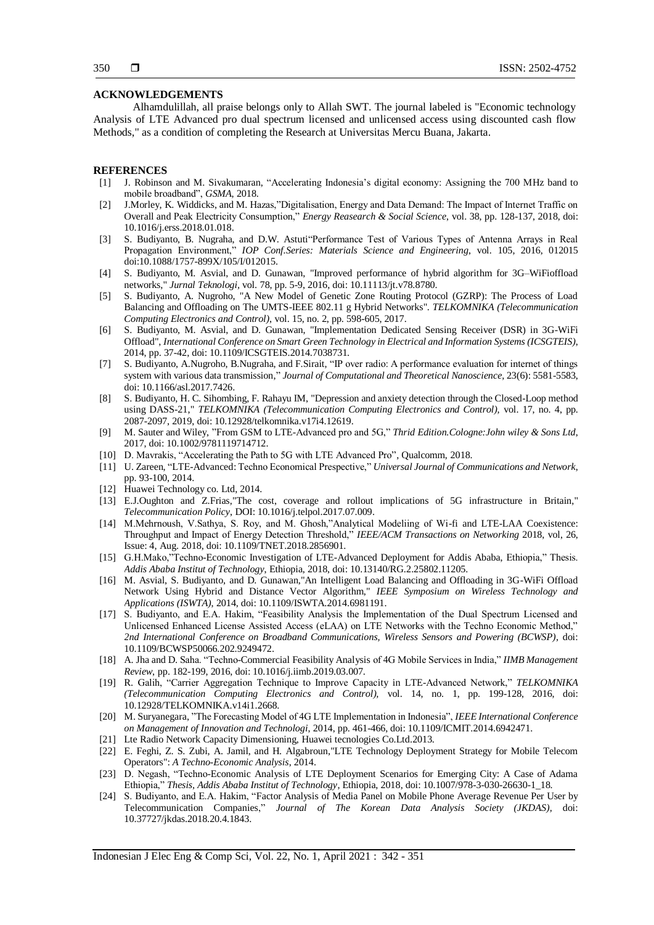#### **ACKNOWLEDGEMENTS**

Alhamdulillah, all praise belongs only to Allah SWT. The journal labeled is "Economic technology Analysis of LTE Advanced pro dual spectrum licensed and unlicensed access using discounted cash flow Methods," as a condition of completing the Research at Universitas Mercu Buana, Jakarta.

#### **REFERENCES**

- [1] J. Robinson and M. Sivakumaran, "Accelerating Indonesia's digital economy: Assigning the 700 MHz band to mobile broadband", *GSMA*, 2018.
- [2] J.Morley, K. Widdicks, and M. Hazas,"Digitalisation, Energy and Data Demand: The Impact of Internet Traffic on Overall and Peak Electricity Consumption," *Energy Reasearch & Social Science*, vol. 38, pp. 128-137, 2018, doi: 10.1016/j.erss.2018.01.018.
- [3] S. Budiyanto, B. Nugraha, and D.W. Astuti"Performance Test of Various Types of Antenna Arrays in Real Propagation Environment," *IOP Conf.Series: Materials Science and Engineering,* vol. 105, 2016, 012015 doi:10.1088/1757-899X/105/I/012015.
- [4] S. Budiyanto, M. Asvial, and D. Gunawan, "Improved performance of hybrid algorithm for 3G–WiFioffload networks," *Jurnal Teknologi,* vol. 78, pp. 5-9, 2016, doi: 10.11113/jt.v78.8780.
- [5] S. Budiyanto, A. Nugroho, "A New Model of Genetic Zone Routing Protocol (GZRP): The Process of Load Balancing and Offloading on The UMTS-IEEE 802.11 g Hybrid Networks". *TELKOMNIKA (Telecommunication Computing Electronics and Control)*, vol. 15, no. 2, pp. 598-605, 2017.
- [6] S. Budiyanto, M. Asvial, and D. Gunawan, "Implementation Dedicated Sensing Receiver (DSR) in 3G-WiFi Offload", *International Conference on Smart Green Technology in Electrical and Information Systems (ICSGTEIS)*, 2014, pp. 37-42, doi: 10.1109/ICSGTEIS.2014.7038731.
- [7] S. Budiyanto, A.Nugroho, B.Nugraha, and F.Sirait, "IP over radio: A performance evaluation for internet of things system with various data transmission," *Journal of Computational and Theoretical Nanoscience,* 23(6): 5581-5583, doi: 10.1166/asl.2017.7426.
- [8] S. Budiyanto, H. C. Sihombing, F. Rahayu IM, "Depression and anxiety detection through the Closed-Loop method using DASS-21," *TELKOMNIKA (Telecommunication Computing Electronics and Control),* vol. 17, no. 4, pp. 2087-2097, 2019, doi: 10.12928/telkomnika.v17i4.12619.
- [9] M. Sauter and Wiley, "From GSM to LTE-Advanced pro and 5G," *Thrid Edition.Cologne:John wiley & Sons Ltd*, 2017, doi: 10.1002/9781119714712.
- [10] D. Mavrakis, "Accelerating the Path to 5G with LTE Advanced Pro", Qualcomm, 2018.
- [11] U. Zareen, "LTE-Advanced: Techno Economical Prespective," *Universal Journal of Communications and Network*, pp. 93-100, 2014.
- [12] Huawei Technology co. Ltd, 2014.
- [13] E.J.Oughton and Z.Frias,"The cost, coverage and rollout implications of 5G infrastructure in Britain," *Telecommunication Policy*, DOI: 10.1016/j.telpol.2017.07.009.
- [14] M.Mehrnoush, V.Sathya, S. Roy, and M. Ghosh,"Analytical Modeliing of Wi-fi and LTE-LAA Coexistence: Throughput and Impact of Energy Detection Threshold," *IEEE/ACM Transactions on Networking* 2018, vol, 26, Issue: 4, Aug. 2018, doi: 10.1109/TNET.2018.2856901.
- [15] G.H.Mako,"Techno-Economic Investigation of LTE-Advanced Deployment for Addis Ababa, Ethiopia," Thesis. *Addis Ababa Institut of Technology*, Ethiopia, 2018, doi: 10.13140/RG.2.25802.11205.
- [16] M. Asvial, S. Budiyanto, and D. Gunawan,"An Intelligent Load Balancing and Offloading in 3G-WiFi Offload Network Using Hybrid and Distance Vector Algorithm," *IEEE Symposium on Wireless Technology and Applications (ISWTA)*, 2014, doi: 10.1109/ISWTA.2014.6981191.
- [17] S. Budiyanto, and E.A. Hakim, "Feasibility Analysis the Implementation of the Dual Spectrum Licensed and Unlicensed Enhanced License Assisted Access (eLAA) on LTE Networks with the Techno Economic Method," 2nd International Conference on Broadband Communications, Wireless Sensors and Powering (BCWSP), doi: 10.1109/BCWSP50066.202.9249472.
- [18] A. Jha and D. Saha. "Techno-Commercial Feasibility Analysis of 4G Mobile Services in India," *IIMB Management Review*, pp. 182-199, 2016, doi: 10.1016/j.iimb.2019.03.007.
- [19] R. Galih, "Carrier Aggregation Technique to Improve Capacity in LTE-Advanced Network," *TELKOMNIKA (Telecommunication Computing Electronics and Control),* vol. 14, no. 1, pp. 199-128, 2016, doi: 10.12928/TELKOMNIKA.v14i1.2668.
- [20] M. Suryanegara, "The Forecasting Model of 4G LTE Implementation in Indonesia", *IEEE International Conference on Management of Innovation and Technologi*, 2014, pp. 461-466, doi: 10.1109/ICMIT.2014.6942471.
- [21] Lte Radio Network Capacity Dimensioning, Huawei tecnologies Co.Ltd.2013.
- [22] E. Feghi, Z. S. Zubi, A. Jamil, and H. Algabroun,"LTE Technology Deployment Strategy for Mobile Telecom Operators": *A Techno-Economic Analysis*, 2014.
- [23] D. Negash, "Techno-Economic Analysis of LTE Deployment Scenarios for Emerging City: A Case of Adama Ethiopia," *Thesis, Addis Ababa Institut of Technology*, Ethiopia, 2018, doi: 10.1007/978-3-030-26630-1\_18.
- [24] S. Budiyanto, and E.A. Hakim, "Factor Analysis of Media Panel on Mobile Phone Average Revenue Per User by Telecommunication Companies," *Journal of The Korean Data Analysis Society (JKDAS),* doi: 10.37727/jkdas.2018.20.4.1843.